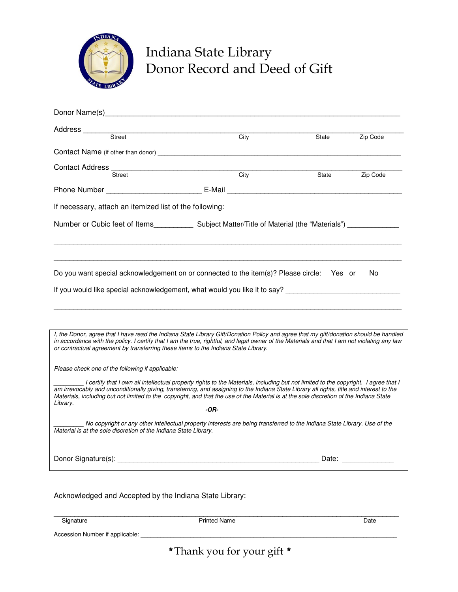

# Indiana State Library Donor Record and Deed of Gift

| Donor Name(s)                                                                                                                                                                                                                                                                                                                                                                                                                         |      |       |                   |
|---------------------------------------------------------------------------------------------------------------------------------------------------------------------------------------------------------------------------------------------------------------------------------------------------------------------------------------------------------------------------------------------------------------------------------------|------|-------|-------------------|
|                                                                                                                                                                                                                                                                                                                                                                                                                                       |      |       |                   |
|                                                                                                                                                                                                                                                                                                                                                                                                                                       | City | State | Zip Code          |
|                                                                                                                                                                                                                                                                                                                                                                                                                                       |      |       |                   |
| Contact Address<br>Street                                                                                                                                                                                                                                                                                                                                                                                                             | City |       |                   |
|                                                                                                                                                                                                                                                                                                                                                                                                                                       |      | State | Zip Code          |
|                                                                                                                                                                                                                                                                                                                                                                                                                                       |      |       |                   |
| If necessary, attach an itemized list of the following:                                                                                                                                                                                                                                                                                                                                                                               |      |       |                   |
|                                                                                                                                                                                                                                                                                                                                                                                                                                       |      |       |                   |
| Do you want special acknowledgement on or connected to the item(s)? Please circle: Yes or                                                                                                                                                                                                                                                                                                                                             |      |       | No.               |
| I, the Donor, agree that I have read the Indiana State Library Gift/Donation Policy and agree that my gift/donation should be handled<br>in accordance with the policy. I certify that I am the true, rightful, and legal owner of the Materials and that I am not violating any law<br>or contractual agreement by transferring these items to the Indiana State Library.                                                            |      |       |                   |
| Please check one of the following if applicable:                                                                                                                                                                                                                                                                                                                                                                                      |      |       |                   |
| I certify that I own all intellectual property rights to the Materials, including but not limited to the copyright. I agree that I<br>am irrevocably and unconditionally giving, transferring, and assigning to the Indiana State Library all rights, title and interest to the<br>Materials, including but not limited to the copyright, and that the use of the Material is at the sole discretion of the Indiana State<br>Library. |      |       |                   |
|                                                                                                                                                                                                                                                                                                                                                                                                                                       | -OR- |       |                   |
| No copyright or any other intellectual property interests are being transferred to the Indiana State Library. Use of the<br>Material is at the sole discretion of the Indiana State Library.                                                                                                                                                                                                                                          |      |       |                   |
|                                                                                                                                                                                                                                                                                                                                                                                                                                       |      |       | Date: ___________ |

Acknowledged and Accepted by the Indiana State Library:

\_\_\_\_\_\_\_\_\_\_\_\_\_\_\_\_\_\_\_\_\_\_\_\_\_\_\_\_\_\_\_\_\_\_\_\_\_\_\_\_\_\_\_\_\_\_\_\_\_\_\_\_\_\_\_\_\_\_\_\_\_\_\_\_\_\_\_\_\_\_\_\_\_\_\_\_\_\_\_\_\_\_\_

Signature Date Printed Name Date Date Date

Accession Number if applicable:

\* Thank you for your gift\*